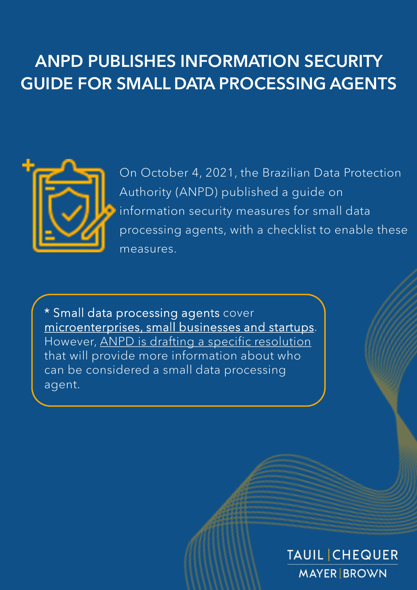# ANPD PUBLISHES INFORMATION SECURITY GUIDE FOR SMALL DATA PROCESSING AGENTS



On October 4, 2021, the Brazilian Data Protection Authority (ANPD) published a guide on information security measures for small data processing agents, with a checklist to enable these measures.

\* Small data processing agents cover microenterprises, small businesses and startups. However, ANPD is drafting a specific resolution that will provide more information about who can be considered a small data processing agent.

### **TAUIL CHEQUER MAYER BROWN**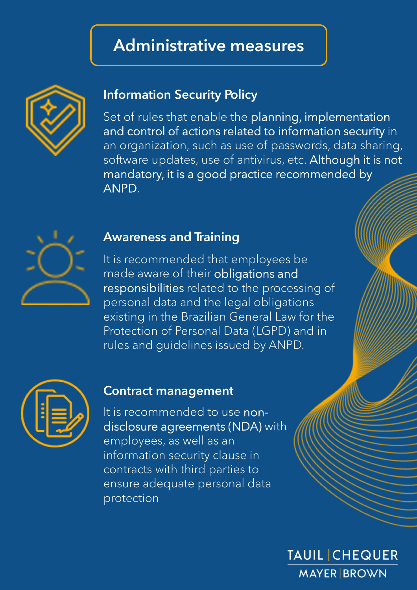## Administrative measures



### Information Security Policy

Set of rules that enable the planning, implementation and control of actions related to information security in an organization, such as use of passwords, data sharing, software updates, use of antivirus, etc. Although it is not mandatory, it is a good practice recommended by ANPD.



#### Awareness and Training

It is recommended that employees be made aware of their obligations and responsibilities related to the processing of personal data and the legal obligations existing in the Brazilian General Law for the Protection of Personal Data (LGPD) and in rules and guidelines issued by ANPD.



### Contract management

It is recommended to use nondisclosure agreements (NDA) with employees, as well as an information security clause in contracts with third parties to ensure adequate personal data protection

> **TAUIL CHEQUER MAYER BROWN**